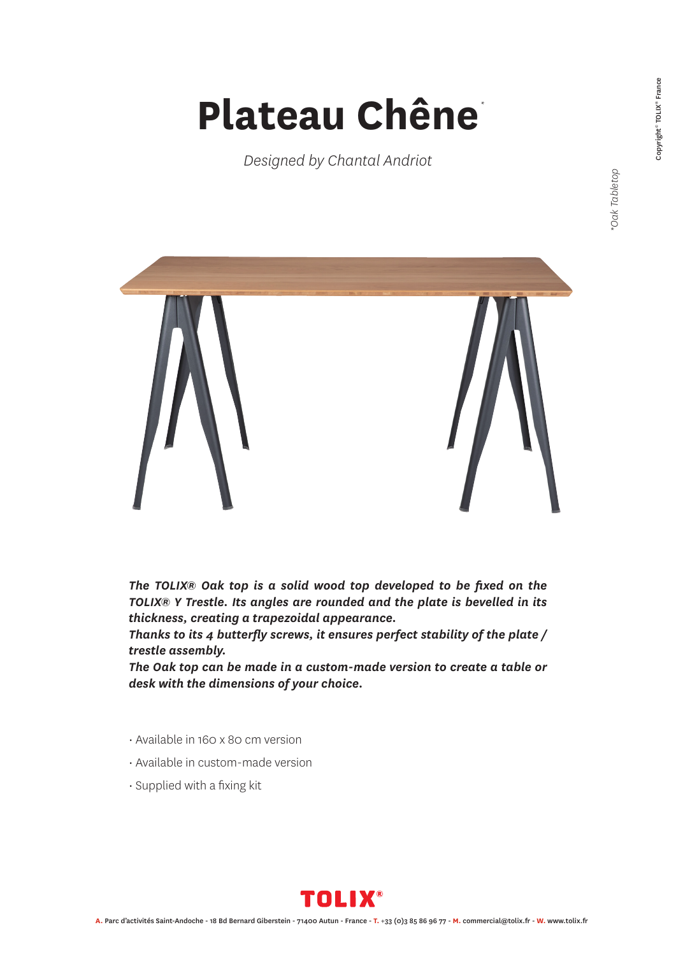## Oak Tabletop *\*Oak Tabletop*

## **Plateau Chêne** *\**

*Designed by Chantal Andriot*



*The TOLIX® Oak top is a solid wood top developed to be fixed on the TOLIX® Y Trestle. Its angles are rounded and the plate is bevelled in its thickness, creating a trapezoidal appearance.*

*Thanks to its 4 butterfly screws, it ensures perfect stability of the plate / trestle assembly.*

*The Oak top can be made in a custom-made version to create a table or desk with the dimensions of your choice.*

- Available in 160 x 80 cm version
- Available in custom-made version
- Supplied with a fixing kit